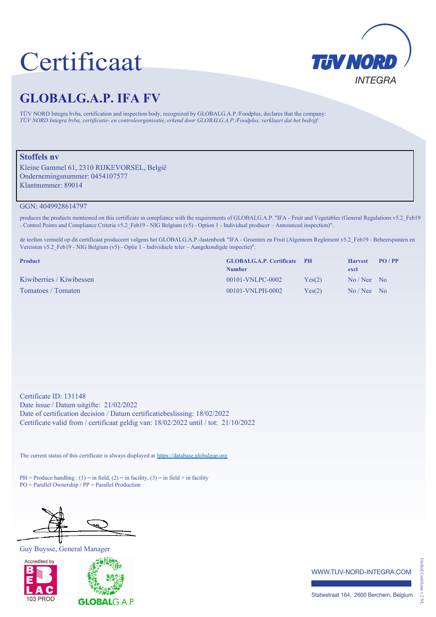## Certificaat



## **GLOBALG.A.P. IFA FV**

TÜV NORD Integra bvba, certification and inspection body, recognized by GLOBALG.A.P./Foodplus, declares that the company: *TÜV NORD Integra bvba, certificatie- en controleorganisatie, erkend door GLOBALG.A.P./Foodplus, verklaart dat het bedrijf:*

## **Stoffels nv**

Kleine Gammel 61, 2310 RIJKEVORSEL, België Ondernemingsnummer: 0454107577 Klantnummer: 89014

GGN: 4049928614797

produces the products mentioned on this certificate in compliance with the requirements of GLOBALG.A.P. "IFA - Fruit and Vegetables (General Regulations v5.2\_Feb19 - Control Points and Compliance Criteria v5.2\_Feb19 - NIG Belgium (v5) - Option 1 - Individual producer – Announced inspection)".

de teelten vermeld op dit certificaat produceert volgens het GLOBALG.A.P.-lastenboek "IFA - Groenten en Fruit (Algemeen Reglement v5.2\_Feb19 - Beheerspunten en Vereisten v5.2 Feb19 - NIG Belgium (v5) - Optie 1 - Individuele teler – Aangekondigde inspectie)".

| <b>Product</b>           | <b>GLOBALG.A.P. Certificate PH</b><br><b>Number</b> |        | <b>Harvest</b><br>excl | PO/PP |
|--------------------------|-----------------------------------------------------|--------|------------------------|-------|
| Kiwiberries / Kiwibessen | $00101$ -VNLPC-0002                                 | Yes(2) | $No / Nee$ No          |       |
| Tomatoes / Tomaten       | 00101-VNLPH-0002                                    | Yes(2) | $No / Nec$ No          |       |

Certificate ID: 131148 Date issue / Datum uitgifte: 21/02/2022 Date of certification decision / Datum certificatiebeslissing: 18/02/2022 Certificate valid from / certificaat geldig van: 18/02/2022 until / tot: 21/10/2022

The current status of this certificate is always displayed at https://database.globalgap.org

PH = Produce handling : (1) = in field, (2) = in facility, (3) = in field + in facility PO = Parallel Ownership / PP = Parallel Production

÷.

Guy Buysse, General Manager





www.tuv-nord-integra.com